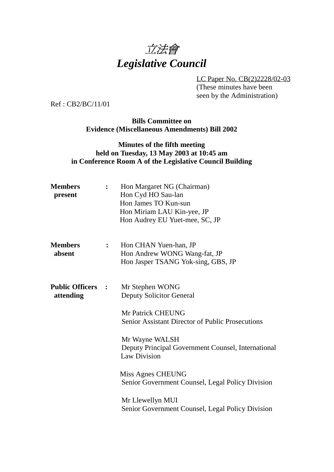

LC Paper No. CB(2)2228/02-03 (These minutes have been seen by the Administration)

Ref : CB2/BC/11/01

**Bills Committee on Evidence (Miscellaneous Amendments) Bill 2002**

## **Minutes of the fifth meeting held on Tuesday, 13 May 2003 at 10:45 am in Conference Room A of the Legislative Council Building**

| <b>Members</b><br>present             |              | Hon Margaret NG (Chairman)<br>Hon Cyd HO Sau-lan<br>Hon James TO Kun-sun<br>Hon Miriam LAU Kin-yee, JP<br>Hon Audrey EU Yuet-mee, SC, JP |
|---------------------------------------|--------------|------------------------------------------------------------------------------------------------------------------------------------------|
| <b>Members</b><br>absent              | $\mathbf{L}$ | Hon CHAN Yuen-han, JP<br>Hon Andrew WONG Wang-fat, JP<br>Hon Jasper TSANG Yok-sing, GBS, JP                                              |
| <b>Public Officers :</b><br>attending |              | Mr Stephen WONG<br><b>Deputy Solicitor General</b>                                                                                       |
|                                       |              | Mr Patrick CHEUNG<br><b>Senior Assistant Director of Public Prosecutions</b>                                                             |
|                                       |              | Mr Wayne WALSH<br>Deputy Principal Government Counsel, International<br><b>Law Division</b>                                              |
|                                       |              | Miss Agnes CHEUNG<br>Senior Government Counsel, Legal Policy Division                                                                    |
|                                       |              | Mr Llewellyn MUI<br>Senior Government Counsel, Legal Policy Division                                                                     |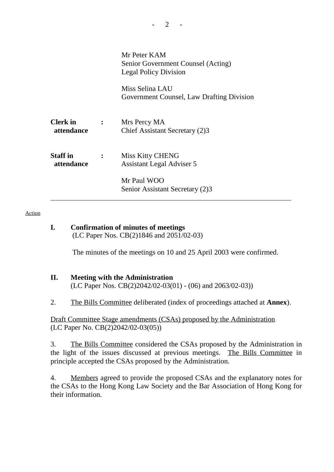|                               |                | Mr Peter KAM<br>Senior Government Counsel (Acting)<br><b>Legal Policy Division</b> |
|-------------------------------|----------------|------------------------------------------------------------------------------------|
|                               |                | Miss Selina LAU<br>Government Counsel, Law Drafting Division                       |
| <b>Clerk</b> in<br>attendance | $\mathbf{L}$   | Mrs Percy MA<br>Chief Assistant Secretary (2)3                                     |
| <b>Staff</b> in<br>attendance | $\ddot{\cdot}$ | <b>Miss Kitty CHENG</b><br><b>Assistant Legal Adviser 5</b>                        |
|                               |                | Mr Paul WOO<br>Senior Assistant Secretary (2)3                                     |

#### Action

**I. Confirmation of minutes of meetings** (LC Paper Nos. CB(2)1846 and 2051/02-03)

The minutes of the meetings on 10 and 25 April 2003 were confirmed.

#### **II. Meeting with the Administration** (LC Paper Nos. CB(2)2042/02-03(01) - (06) and 2063/02-03))

2. The Bills Committee deliberated (index of proceedings attached at **Annex**).

Draft Committee Stage amendments (CSAs) proposed by the Administration (LC Paper No. CB(2)2042/02-03(05))

3. The Bills Committee considered the CSAs proposed by the Administration in the light of the issues discussed at previous meetings. The Bills Committee in principle accepted the CSAs proposed by the Administration.

4. Members agreed to provide the proposed CSAs and the explanatory notes for the CSAs to the Hong Kong Law Society and the Bar Association of Hong Kong for their information.

 $2 -$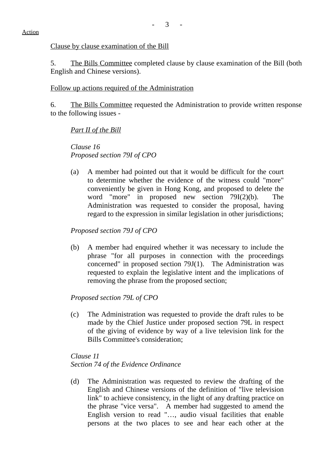Clause by clause examination of the Bill

5. The Bills Committee completed clause by clause examination of the Bill (both English and Chinese versions).

#### Follow up actions required of the Administration

6. The Bills Committee requested the Administration to provide written response to the following issues -

*Part II of the Bill*

*Clause 16 Proposed section 79I of CPO*

(a) A member had pointed out that it would be difficult for the court to determine whether the evidence of the witness could "more" conveniently be given in Hong Kong, and proposed to delete the word "more" in proposed new section 79I(2)(b). The Administration was requested to consider the proposal, having regard to the expression in similar legislation in other jurisdictions;

*Proposed section 79J of CPO*

(b) A member had enquired whether it was necessary to include the phrase "for all purposes in connection with the proceedings concerned" in proposed section 79J(1). The Administration was requested to explain the legislative intent and the implications of removing the phrase from the proposed section;

*Proposed section 79L of CPO*

(c) The Administration was requested to provide the draft rules to be made by the Chief Justice under proposed section 79L in respect of the giving of evidence by way of a live television link for the Bills Committee's consideration;

*Clause 11 Section 74 of the Evidence Ordinance*

(d) The Administration was requested to review the drafting of the English and Chinese versions of the definition of "live television link" to achieve consistency, in the light of any drafting practice on the phrase "vice versa". A member had suggested to amend the English version to read "…, audio visual facilities that enable persons at the two places to see and hear each other at the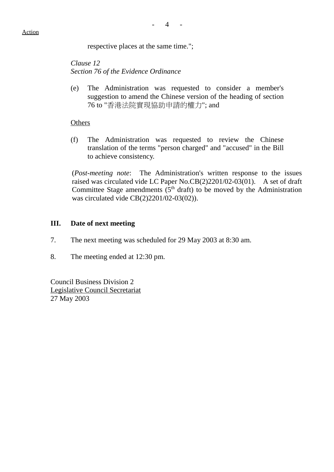respective places at the same time.";

*Clause 12 Section 76 of the Evidence Ordinance*

(e) The Administration was requested to consider a member's suggestion to amend the Chinese version of the heading of section 76 to "香港法院實現協助申請的權力"; and

#### **Others**

(f) The Administration was requested to review the Chinese translation of the terms "person charged" and "accused" in the Bill to achieve consistency.

(*Post-meeting note*: The Administration's written response to the issues raised was circulated vide LC Paper No.CB(2)2201/02-03(01). A set of draft Committee Stage amendments  $(5<sup>th</sup> draff)$  to be moved by the Administration was circulated vide CB(2)2201/02-03(02)).

## **III. Date of next meeting**

- 7. The next meeting was scheduled for 29 May 2003 at 8:30 am.
- 8. The meeting ended at 12:30 pm.

Council Business Division 2 Legislative Council Secretariat 27 May 2003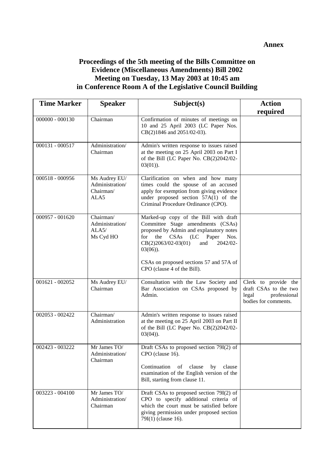#### **Annex**

## **Proceedings of the 5th meeting of the Bills Committee on Evidence (Miscellaneous Amendments) Bill 2002 Meeting on Tuesday, 13 May 2003 at 10:45 am in Conference Room A of the Legislative Council Building**

| <b>Time Marker</b> | <b>Speaker</b>                                        | Subject(s)                                                                                                                                                                                                                   | <b>Action</b>                                                                                  |
|--------------------|-------------------------------------------------------|------------------------------------------------------------------------------------------------------------------------------------------------------------------------------------------------------------------------------|------------------------------------------------------------------------------------------------|
|                    |                                                       |                                                                                                                                                                                                                              | required                                                                                       |
| $000000 - 000130$  | Chairman                                              | Confirmation of minutes of meetings on<br>10 and 25 April 2003 (LC Paper Nos.<br>CB(2)1846 and 2051/02-03).                                                                                                                  |                                                                                                |
| 000131 - 000517    | Administration/<br>Chairman                           | Admin's written response to issues raised<br>at the meeting on 25 April 2003 on Part I<br>of the Bill (LC Paper No. CB(2)2042/02-<br>$03(01)$ ).                                                                             |                                                                                                |
| 000518 - 000956    | Ms Audrey EU/<br>Administration/<br>Chairman/<br>ALA5 | Clarification on when and how many<br>times could the spouse of an accused<br>apply for exemption from giving evidence<br>under proposed section 57A(1) of the<br>Criminal Procedure Ordinance (CPO).                        |                                                                                                |
| 000957 - 001620    | Chairman/<br>Administration/<br>ALA5/<br>Ms Cyd HO    | Marked-up copy of the Bill with draft<br>Committee Stage amendments (CSAs)<br>proposed by Admin and explanatory notes<br>the CSAs<br>(LC)<br>Paper<br>for<br>Nos.<br>$CB(2)2063/02-03(01)$<br>2042/02-<br>and<br>$03(06)$ ). |                                                                                                |
|                    |                                                       | CSAs on proposed sections 57 and 57A of<br>CPO (clause 4 of the Bill).                                                                                                                                                       |                                                                                                |
| $001621 - 002052$  | Ms Audrey EU/<br>Chairman                             | Consultation with the Law Society and<br>Bar Association on CSAs proposed by<br>Admin.                                                                                                                                       | Clerk to provide the<br>draft CSAs to the two<br>professional<br>legal<br>bodies for comments. |
| 002053 - 002422    | Chairman/<br>Administration                           | Admin's written response to issues raised<br>at the meeting on 25 April 2003 on Part II<br>of the Bill (LC Paper No. CB(2)2042/02-<br>$03(04)$ ).                                                                            |                                                                                                |
| 002423 - 003222    | Mr James TO/<br>Administration/<br>Chairman           | Draft CSAs to proposed section 79I(2) of<br>CPO (clause 16).<br>Continuation<br>clause<br>clause<br>of<br>by<br>examination of the English version of the<br>Bill, starting from clause 11.                                  |                                                                                                |
| 003223 - 004100    | Mr James TO/<br>Administration/<br>Chairman           | Draft CSAs to proposed section 79I(2) of<br>CPO to specify additional criteria of<br>which the court must be satisfied before<br>giving permission under proposed section<br>79I(1) (clause 16).                             |                                                                                                |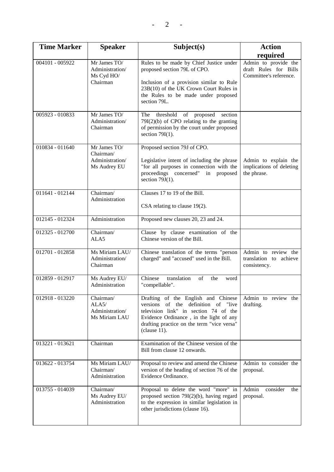| <b>Time Marker</b> | <b>Speaker</b>                                               | Subject(s)                                                                                                                                                                                                                    | <b>Action</b>                                                                       |  |
|--------------------|--------------------------------------------------------------|-------------------------------------------------------------------------------------------------------------------------------------------------------------------------------------------------------------------------------|-------------------------------------------------------------------------------------|--|
| 004101 - 005922    | Mr James TO/<br>Administration/<br>Ms Cyd HO/<br>Chairman    | Rules to be made by Chief Justice under<br>proposed section 79L of CPO.<br>Inclusion of a provision similar to Rule<br>23B(10) of the UK Crown Court Rules in<br>the Rules to be made under proposed<br>section 79L.          | required<br>Admin to provide the<br>draft Rules for Bills<br>Committee's reference. |  |
| 005923 - 010833    | Mr James TO/<br>Administration/<br>Chairman                  | threshold<br>proposed<br>section<br>The<br>of<br>$79I(2)(b)$ of CPO relating to the granting<br>of permission by the court under proposed<br>section $79I(1)$ .                                                               |                                                                                     |  |
| 010834 - 011640    | Mr James TO/<br>Chairman/<br>Administration/<br>Ms Audrey EU | Proposed section 79J of CPO.<br>Legislative intent of including the phrase<br>"for all purposes in connection with the<br>proceedings concerned" in proposed<br>section $79J(1)$ .                                            | Admin to explain the<br>implications of deleting<br>the phrase.                     |  |
| 011641 - 012144    | Chairman/<br>Administration                                  | Clauses 17 to 19 of the Bill.<br>CSA relating to clause 19(2).                                                                                                                                                                |                                                                                     |  |
| 012145 - 012324    | Administration                                               | Proposed new clauses 20, 23 and 24.                                                                                                                                                                                           |                                                                                     |  |
| $012325 - 012700$  | Chairman/<br>ALA5                                            | Clause by clause examination of the<br>Chinese version of the Bill.                                                                                                                                                           |                                                                                     |  |
| $012701 - 012858$  | Ms Miriam LAU/<br>Administration/<br>Chairman                | Chinese translation of the terms "person<br>charged" and "accused" used in the Bill.                                                                                                                                          | Admin to review the<br>translation to achieve<br>consistency.                       |  |
| 012859 - 012917    | Ms Audrey EU/<br>Administration                              | translation<br>Chinese<br>of<br>the<br>word<br>"compellable".                                                                                                                                                                 |                                                                                     |  |
| 012918 - 013220    | Chairman/<br>ALA5/<br>Administration/<br>Ms Miriam LAU       | Drafting of the English and Chinese<br>versions of the definition of "live<br>television link" in section 74 of the<br>Evidence Ordinance, in the light of any<br>drafting practice on the term "vice versa"<br>$clause 11$ . | Admin to review the<br>drafting.                                                    |  |
| 013221 - 013621    | Chairman                                                     | Examination of the Chinese version of the<br>Bill from clause 12 onwards.                                                                                                                                                     |                                                                                     |  |
| 013622 - 013754    | Ms Miriam LAU/<br>Chairman/<br>Administration                | Proposal to review and amend the Chinese<br>version of the heading of section 76 of the<br>Evidence Ordinance.                                                                                                                | Admin to consider the<br>proposal.                                                  |  |
| 013755 - 014039    | Chairman/<br>Ms Audrey EU/<br>Administration                 | Proposal to delete the word "more" in<br>proposed section $79I(2)(b)$ , having regard<br>to the expression in similar legislation in<br>other jurisdictions (clause 16).                                                      | Admin<br>consider<br>the<br>proposal.                                               |  |